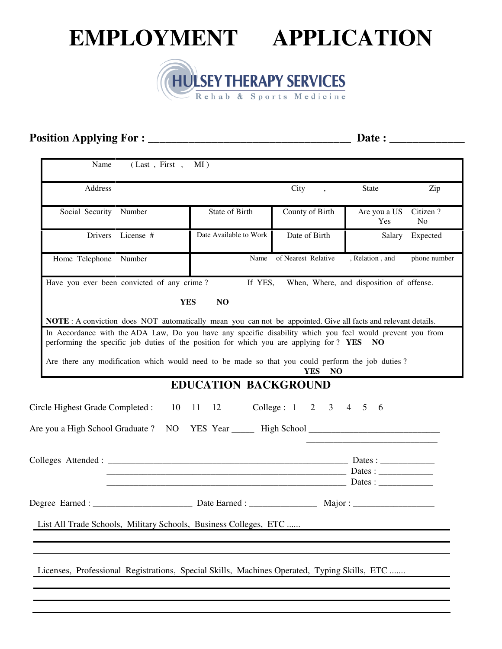# **EMPLOYMENT APPLICATION**



# **Position Applying For : \_\_\_\_\_\_\_\_\_\_\_\_\_\_\_\_\_\_\_\_\_\_\_\_\_\_\_\_\_\_\_\_\_\_\_ Date : \_\_\_\_\_\_\_\_\_\_\_\_\_**

| Name<br>(Last, First, MI)                                                                                                                                                                                                                                                                                                                                                                                                    |                                         |                                  |                                          |                |
|------------------------------------------------------------------------------------------------------------------------------------------------------------------------------------------------------------------------------------------------------------------------------------------------------------------------------------------------------------------------------------------------------------------------------|-----------------------------------------|----------------------------------|------------------------------------------|----------------|
| Address                                                                                                                                                                                                                                                                                                                                                                                                                      |                                         | City<br>$\overline{\phantom{a}}$ | <b>State</b>                             | Zip            |
| Social Security Number                                                                                                                                                                                                                                                                                                                                                                                                       | State of Birth                          | County of Birth                  | Are you a US<br>Yes                      | Citizen?<br>No |
| Drivers License #                                                                                                                                                                                                                                                                                                                                                                                                            | Date Available to Work                  | Date of Birth                    | Salary                                   | Expected       |
| Home Telephone Number                                                                                                                                                                                                                                                                                                                                                                                                        | Name                                    | of Nearest Relative              | , Relation, and                          | phone number   |
| Have you ever been convicted of any crime?                                                                                                                                                                                                                                                                                                                                                                                   | If YES,<br><b>YES</b><br>N <sub>O</sub> |                                  | When, Where, and disposition of offense. |                |
| NOTE: A conviction does NOT automatically mean you can not be appointed. Give all facts and relevant details.<br>In Accordance with the ADA Law, Do you have any specific disability which you feel would prevent you from<br>performing the specific job duties of the position for which you are applying for ? YES NO<br>Are there any modification which would need to be made so that you could perform the job duties? |                                         | <b>YES</b><br>NO                 |                                          |                |
| Circle Highest Grade Completed : 10 11 12                                                                                                                                                                                                                                                                                                                                                                                    | <b>EDUCATION BACKGROUND</b>             | College: 1 2 3 4 5 6             |                                          |                |
|                                                                                                                                                                                                                                                                                                                                                                                                                              | $Date:$ Dates :                         |                                  |                                          |                |
|                                                                                                                                                                                                                                                                                                                                                                                                                              |                                         |                                  | Major:                                   |                |
| List All Trade Schools, Military Schools, Business Colleges, ETC                                                                                                                                                                                                                                                                                                                                                             |                                         |                                  |                                          |                |
| Licenses, Professional Registrations, Special Skills, Machines Operated, Typing Skills, ETC                                                                                                                                                                                                                                                                                                                                  |                                         |                                  |                                          |                |
|                                                                                                                                                                                                                                                                                                                                                                                                                              |                                         |                                  |                                          |                |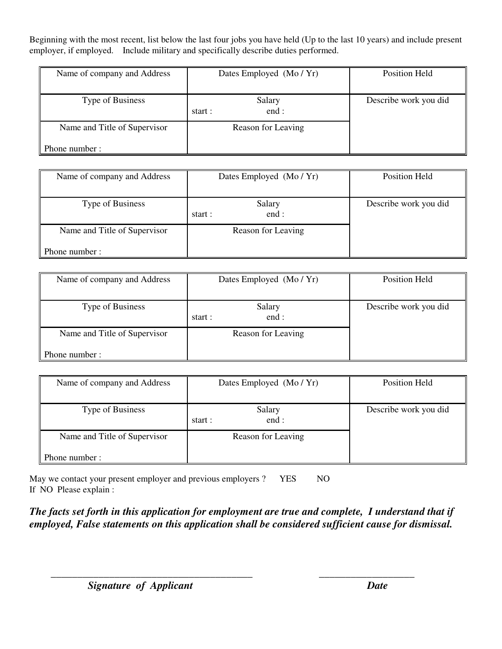Beginning with the most recent, list below the last four jobs you have held (Up to the last 10 years) and include present employer, if employed. Include military and specifically describe duties performed.

| Name of company and Address                    | Dates Employed (Mo/Yr)    | Position Held         |
|------------------------------------------------|---------------------------|-----------------------|
| Type of Business                               | Salary<br>end:<br>start : | Describe work you did |
| Name and Title of Supervisor<br>Phone number : | Reason for Leaving        |                       |

| Name of company and Address  | Dates Employed (Mo/Yr)    | Position Held         |
|------------------------------|---------------------------|-----------------------|
| Type of Business             | Salary<br>end:<br>start : | Describe work you did |
| Name and Title of Supervisor | Reason for Leaving        |                       |
| Phone number :               |                           |                       |

| Name of company and Address  | Dates Employed (Mo/Yr) | Position Held         |
|------------------------------|------------------------|-----------------------|
|                              |                        |                       |
| Type of Business             | Salary                 | Describe work you did |
|                              | end :<br>start :       |                       |
| Name and Title of Supervisor | Reason for Leaving     |                       |
|                              |                        |                       |
| Phone number :               |                        |                       |

| Name of company and Address  | Dates Employed (Mo/Yr) | Position Held         |
|------------------------------|------------------------|-----------------------|
|                              |                        |                       |
| Type of Business             | Salary                 | Describe work you did |
|                              | end:<br>start :        |                       |
| Name and Title of Supervisor | Reason for Leaving     |                       |
|                              |                        |                       |
| Phone number:                |                        |                       |

May we contact your present employer and previous employers ? YES NO If NO Please explain :

*The facts set forth in this application for employment are true and complete, I understand that if employed, False statements on this application shall be considered sufficient cause for dismissal.* 

 *\_\_\_\_\_\_\_\_\_\_\_\_\_\_\_\_\_\_\_\_\_\_\_\_\_\_\_\_\_\_\_\_\_\_\_\_\_\_ \_\_\_\_\_\_\_\_\_\_\_\_\_\_\_\_\_\_*